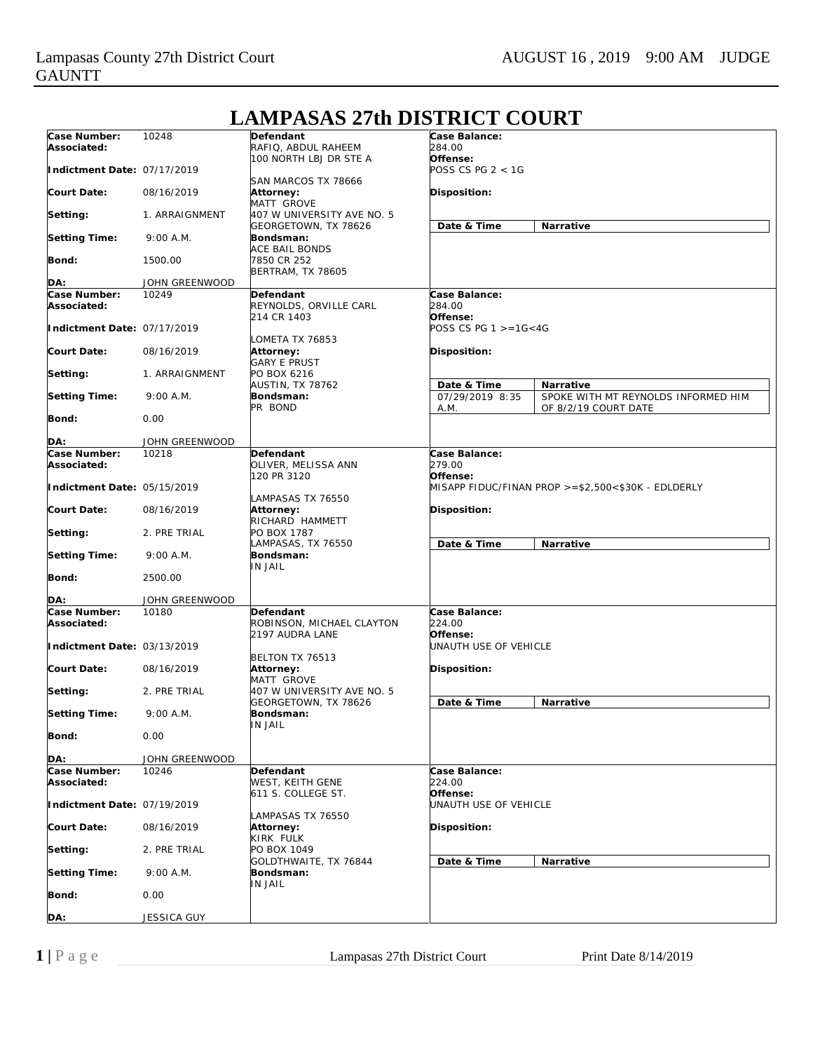#### **Case Number: Associated: Indictment Date:** 07/17/2019 **Court Date: Setting: Setting Time: Bond: DA:** 10248 08/16/2019 1. ARRAIGNMENT 9:00 A.M. 1500.00 JOHN GREENWOOD **Defendant** RAFIQ, ABDUL RAHEEM 100 NORTH LBJ DR STE A SAN MARCOS TX 78666 **Attorney:** MATT GROVE 407 W UNIVERSITY AVE NO. 5 GEORGETOWN, TX 78626 **Bondsman:** ACE BAIL BONDS 7850 CR 252 BERTRAM, TX 78605 **Case Balance:** *284.00* **Offense:** *POSS CS PG 2 < 1G* **Disposition: Date & Time Narrative Case Number: Associated: Indictment Date:** 07/17/2019 **Court Date: Setting: Setting Time: Bond: DA:** 10249 08/16/2019 1. ARRAIGNMENT 9:00 A.M.  $0.00$ JOHN GREENWOOD **Defendant** REYNOLDS, ORVILLE CARL 214 CR 1403 LOMETA TX 76853 **Attorney:** GARY E PRUST PO BOX 6216 AUSTIN, TX 78762 **Bondsman:** PR BOND **Case Balance:** *284.00* **Offense:** *POSS CS PG 1 >=1G<4G* **Disposition: Date & Time Narrative** 07/29/2019 8:35 A.M. SPOKE WITH MT REYNOLDS INFORMED HIM OF 8/2/19 COURT DATE **Case Number: Associated: Indictment Date:** 05/15/2019 **Court Date: Setting: Setting Time: Bond: DA:** 10218 08/16/2019 2. PRE TRIAL 9:00 A.M. 2500.00 JOHN GREENWOOD **Defendant** OLIVER, MELISSA ANN 120 PR 3120 LAMPASAS TX 76550 **Attorney:** RICHARD HAMMETT PO BOX 1787 LAMPASAS, TX 76550 **Bondsman:** IN JAIL **Case Balance:** *279.00* **Offense:** *MISAPP FIDUC/FINAN PROP >=\$2,500<\$30K - EDLDERLY* **Disposition: Date & Time Narrative Case Number: Associated: Indictment Date:** 03/13/2019 **Court Date: Setting: Setting Time: Bond: DA:** 10180 08/16/2019 2. PRE TRIAL 9:00 A.M.  $0.00$ JOHN GREENWOOD **Defendant** ROBINSON, MICHAEL CLAYTON 2197 AUDRA LANE BELTON TX 76513 **Attorney:** MATT GROVE 407 W UNIVERSITY AVE NO. 5 GEORGETOWN, TX 78626 **Bondsman:** IN JAIL **Case Balance:** *224.00* **Offense:** *UNAUTH USE OF VEHICLE* **Disposition: Date & Time Narrative Case Number: Associated: Indictment Date:** 07/19/2019 **Court Date: Setting: Setting Time: Bond: DA:** 10246 08/16/2019 2. PRE TRIAL 9:00 A.M. 0.00 JESSICA GUY **Defendant** WEST, KEITH GENE 611 S. COLLEGE ST. LAMPASAS TX 76550 **Attorney:** KIRK FULK **PO BOX 1049** GOLDTHWAITE, TX 76844 **Bondsman:** IN JAIL **Case Balance:** *224.00* **Offense:** *UNAUTH USE OF VEHICLE* **Disposition: Date & Time Narrative**

## **LAMPASAS 27th DISTRICT COURT**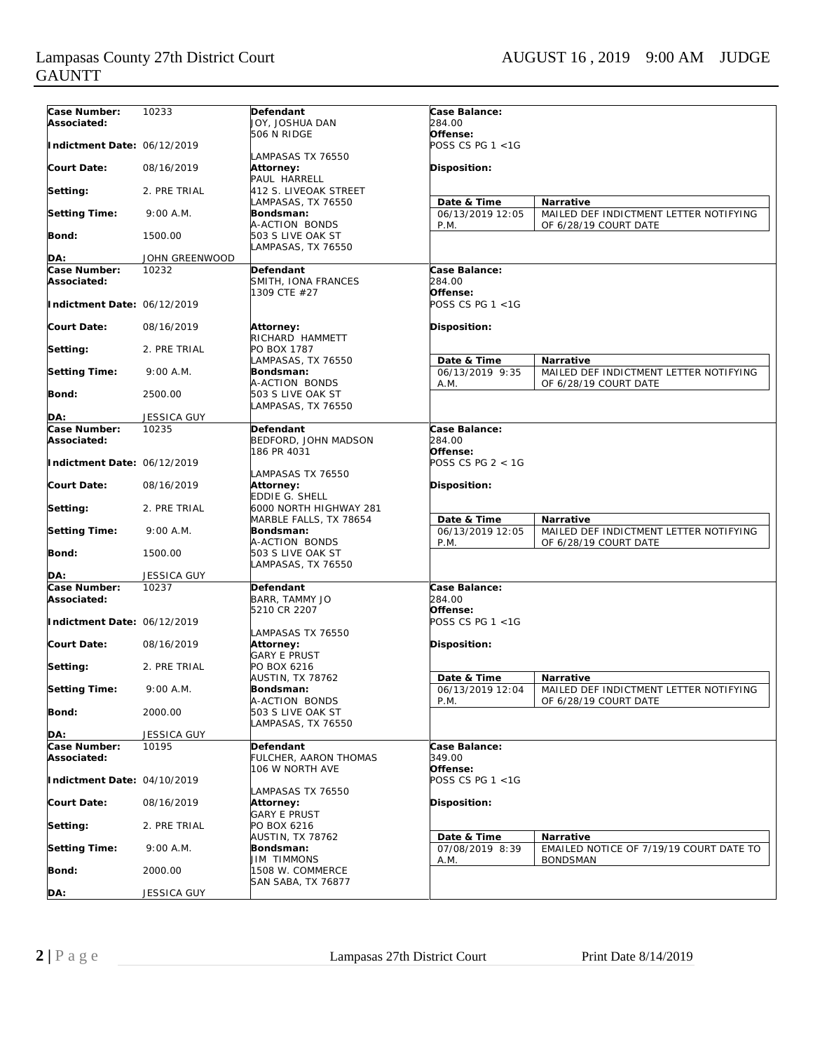### Lampasas County 27th District Court AUGUST 16, 2019 9:00 AM JUDGE GAUNTT

| Case Number:                | 10233                 | Defendant               | Case Balance:        |                                         |
|-----------------------------|-----------------------|-------------------------|----------------------|-----------------------------------------|
| Associated:                 |                       | JOY, JOSHUA DAN         | 284.00               |                                         |
|                             |                       | 506 N RIDGE             | Offense:             |                                         |
| Indictment Date: 06/12/2019 |                       |                         | POSS CS PG $1 < 1$ G |                                         |
|                             |                       | LAMPASAS TX 76550       |                      |                                         |
| Court Date:                 | 08/16/2019            | Attorney:               | Disposition:         |                                         |
|                             |                       | PAUL HARRELL            |                      |                                         |
| Setting:                    | 2. PRE TRIAL          | 412 S. LIVEOAK STREET   |                      |                                         |
|                             |                       | LAMPASAS, TX 76550      | Date & Time          | Narrative                               |
| <b>Setting Time:</b>        | $9:00$ A.M.           | Bondsman:               | 06/13/2019 12:05     | MAILED DEF INDICTMENT LETTER NOTIFYING  |
|                             |                       | A-ACTION BONDS          |                      |                                         |
| <b>Bond:</b>                | 1500.00               | 503 S LIVE OAK ST       | P.M.                 | OF 6/28/19 COURT DATE                   |
|                             |                       |                         |                      |                                         |
| DA:                         | <b>JOHN GREENWOOD</b> | LAMPASAS, TX 76550      |                      |                                         |
|                             |                       |                         | Case Balance:        |                                         |
| Case Number:                | 10232                 | Defendant               | 284.00               |                                         |
| Associated:                 |                       | SMITH, IONA FRANCES     |                      |                                         |
|                             |                       | 1309 CTE #27            | Offense:             |                                         |
| Indictment Date: 06/12/2019 |                       |                         | POSS CS PG $1 < 1$ G |                                         |
|                             |                       |                         |                      |                                         |
| Court Date:                 | 08/16/2019            | Attorney:               | Disposition:         |                                         |
|                             |                       | RICHARD HAMMETT         |                      |                                         |
| Setting:                    | 2. PRE TRIAL          | PO BOX 1787             |                      |                                         |
|                             |                       | LAMPASAS, TX 76550      | Date & Time          | Narrative                               |
| <b>Setting Time:</b>        | 9:00 A.M.             | Bondsman:               | 06/13/2019 9:35      | MAILED DEF INDICTMENT LETTER NOTIFYING  |
|                             |                       | A-ACTION BONDS          | A.M.                 | OF 6/28/19 COURT DATE                   |
| Bond:                       | 2500.00               | 503 S LIVE OAK ST       |                      |                                         |
|                             |                       | LAMPASAS, TX 76550      |                      |                                         |
| DA:                         | <b>JESSICA GUY</b>    |                         |                      |                                         |
| Case Number:                | 10235                 | Defendant               | Case Balance:        |                                         |
| Associated:                 |                       | BEDFORD, JOHN MADSON    | 284.00               |                                         |
|                             |                       | 186 PR 4031             | Offense:             |                                         |
| Indictment Date: 06/12/2019 |                       |                         | POSS CS PG $2 < 1$ G |                                         |
|                             |                       | LAMPASAS TX 76550       |                      |                                         |
| Court Date:                 | 08/16/2019            | Attorney:               | Disposition:         |                                         |
|                             |                       | EDDIE G. SHELL          |                      |                                         |
| Setting:                    | 2. PRE TRIAL          | 6000 NORTH HIGHWAY 281  |                      |                                         |
|                             |                       | MARBLE FALLS, TX 78654  | Date & Time          | Narrative                               |
| <b>Setting Time:</b>        | 9:00 A.M.             | Bondsman:               | 06/13/2019 12:05     | MAILED DEF INDICTMENT LETTER NOTIFYING  |
|                             |                       | A-ACTION BONDS          | P.M.                 | OF 6/28/19 COURT DATE                   |
| Bond:                       | 1500.00               | 503 S LIVE OAK ST       |                      |                                         |
|                             |                       | LAMPASAS, TX 76550      |                      |                                         |
| DA:                         | <b>JESSICA GUY</b>    |                         |                      |                                         |
| Case Number:                | 10237                 | Defendant               | Case Balance:        |                                         |
| Associated:                 |                       | BARR, TAMMY JO          | 284.00               |                                         |
|                             |                       | 5210 CR 2207            | Offense:             |                                         |
| Indictment Date: 06/12/2019 |                       |                         | POSS CS PG $1 < 1$ G |                                         |
|                             |                       | LAMPASAS TX 76550       |                      |                                         |
| <b>Court Date:</b>          | 08/16/2019            | Attorney:               | Disposition:         |                                         |
|                             |                       | <b>GARY E PRUST</b>     |                      |                                         |
| Setting:                    | 2. PRE TRIAL          | PO BOX 6216             |                      |                                         |
|                             |                       | AUSTIN, TX 78762        | Date & Time          | Narrative                               |
| <b>Setting Time:</b>        | $9:00$ A.M.           | Bondsman:               | 06/13/2019 12:04     | MAILED DEF INDICTMENT LETTER NOTIFYING  |
|                             |                       | A-ACTION BONDS          | P.M.                 | OF 6/28/19 COURT DATE                   |
| Bond:                       | 2000.00               | 503 S LIVE OAK ST       |                      |                                         |
|                             |                       | LAMPASAS, TX 76550      |                      |                                         |
| DA:                         | <b>JESSICA GUY</b>    |                         |                      |                                         |
| Case Number:                | 10195                 |                         | Case Balance:        |                                         |
|                             |                       | Defendant               |                      |                                         |
| Associated:                 |                       | FULCHER, AARON THOMAS   | 349.00               |                                         |
|                             |                       | 106 W NORTH AVE         | Offense:             |                                         |
| Indictment Date: 04/10/2019 |                       |                         | POSS CS PG $1 < 1$ G |                                         |
|                             |                       | LAMPASAS TX 76550       |                      |                                         |
| <b>Court Date:</b>          | 08/16/2019            | Attorney:               | Disposition:         |                                         |
|                             |                       | <b>GARY E PRUST</b>     |                      |                                         |
| Setting:                    | 2. PRE TRIAL          | PO BOX 6216             |                      |                                         |
|                             |                       | <b>AUSTIN, TX 78762</b> | Date & Time          | Narrative                               |
| <b>Setting Time:</b>        | $9:00$ A.M.           | Bondsman:               | 07/08/2019 8:39      | EMAILED NOTICE OF 7/19/19 COURT DATE TO |
|                             |                       | <b>JIM TIMMONS</b>      | A.M.                 | <b>BONDSMAN</b>                         |
| Bond:                       | 2000.00               | 1508 W. COMMERCE        |                      |                                         |
|                             |                       | SAN SABA, TX 76877      |                      |                                         |
| DA:                         | JESSICA GUY           |                         |                      |                                         |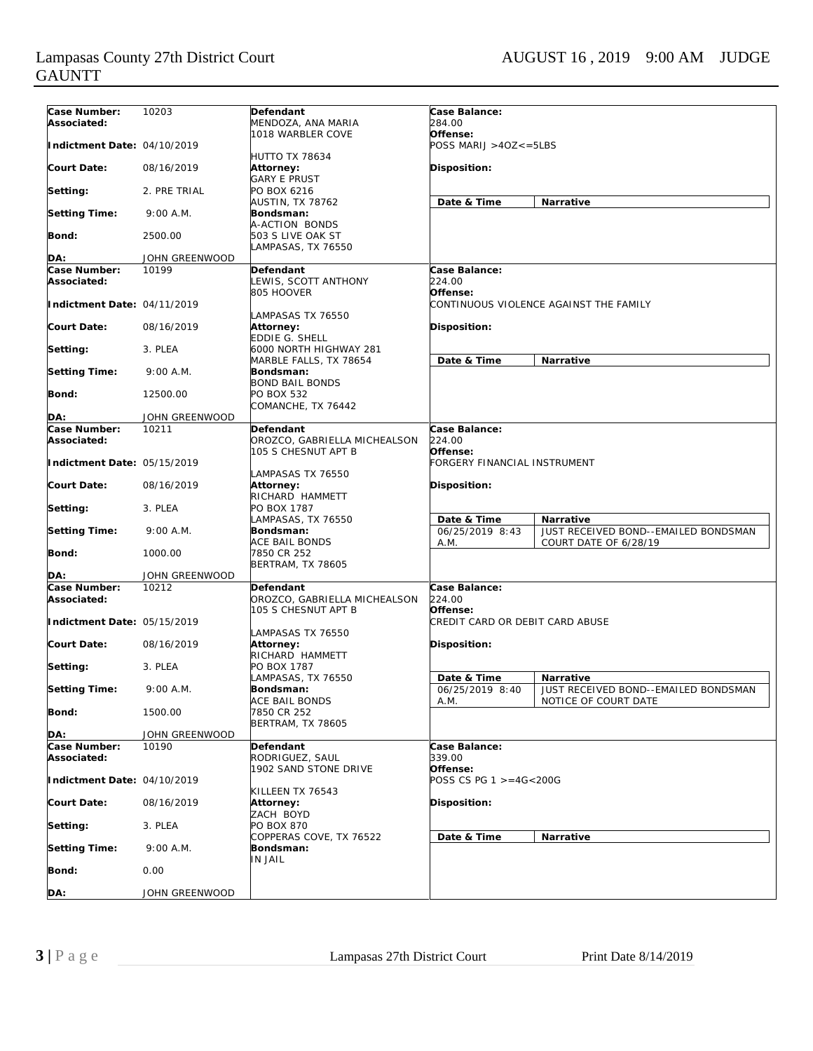#### Lampasas County 27th District Court AUGUST 16, 2019 9:00 AM JUDGE GAUNTT

| Case Number:                | 10203          | Defendant                               | Case Balance:                    |                                        |
|-----------------------------|----------------|-----------------------------------------|----------------------------------|----------------------------------------|
| Associated:                 |                | MENDOZA, ANA MARIA                      | 284.00                           |                                        |
|                             |                | 1018 WARBLER COVE                       | Offense:                         |                                        |
| Indictment Date: 04/10/2019 |                |                                         | $POSS \, MARIJ > 4OZ \le = 5LBS$ |                                        |
|                             |                | <b>HUTTO TX 78634</b>                   |                                  |                                        |
| <b>Court Date:</b>          | 08/16/2019     | Attorney:                               | Disposition:                     |                                        |
|                             |                | <b>GARY E PRUST</b>                     |                                  |                                        |
| Setting:                    | 2. PRE TRIAL   | PO BOX 6216                             |                                  |                                        |
|                             |                | AUSTIN, TX 78762                        | Date & Time                      | Narrative                              |
| <b>Setting Time:</b>        | 9:00 A.M.      | Bondsman:                               |                                  |                                        |
| <b>Bond:</b>                | 2500.00        | A-ACTION BONDS<br>503 S LIVE OAK ST     |                                  |                                        |
|                             |                | LAMPASAS, TX 76550                      |                                  |                                        |
| DA:                         | JOHN GREENWOOD |                                         |                                  |                                        |
| Case Number:                | 10199          | Defendant                               | Case Balance:                    |                                        |
| Associated:                 |                | LEWIS, SCOTT ANTHONY                    | 224.00                           |                                        |
|                             |                | 805 HOOVER                              | Offense:                         |                                        |
| Indictment Date: 04/11/2019 |                |                                         |                                  | CONTINUOUS VIOLENCE AGAINST THE FAMILY |
|                             |                | AMPASAS TX 76550                        |                                  |                                        |
| <b>Court Date:</b>          | 08/16/2019     | Attorney:                               | <b>Disposition:</b>              |                                        |
|                             |                | <b>EDDIE G. SHELL</b>                   |                                  |                                        |
| Setting:                    | 3. PLEA        | 6000 NORTH HIGHWAY 281                  |                                  |                                        |
|                             |                | MARBLE FALLS, TX 78654                  | Date & Time                      | Narrative                              |
| <b>Setting Time:</b>        | 9:00 A.M.      | <b>Bondsman:</b>                        |                                  |                                        |
|                             |                | <b>BOND BAIL BONDS</b>                  |                                  |                                        |
| Bond:                       | 12500.00       | <b>PO BOX 532</b><br>COMANCHE, TX 76442 |                                  |                                        |
| DA:                         | JOHN GREENWOOD |                                         |                                  |                                        |
| Case Number:                | 10211          | Defendant                               | Case Balance:                    |                                        |
| Associated:                 |                | OROZCO, GABRIELLA MICHEALSON            | 224.00                           |                                        |
|                             |                | 105 S CHESNUT APT B                     | Offense:                         |                                        |
| Indictment Date: 05/15/2019 |                |                                         | FORGERY FINANCIAL INSTRUMENT     |                                        |
|                             |                | LAMPASAS TX 76550                       |                                  |                                        |
| <b>Court Date:</b>          | 08/16/2019     | Attorney:                               | Disposition:                     |                                        |
|                             |                | RICHARD HAMMETT                         |                                  |                                        |
| Setting:                    | 3. PLEA        | PO BOX 1787                             |                                  |                                        |
|                             |                | LAMPASAS, TX 76550                      | Date & Time                      | Narrative                              |
| <b>Setting Time:</b>        | 9:00 A.M.      | Bondsman:                               | 06/25/2019 8:43                  | JUST RECEIVED BOND--EMAILED BONDSMAN   |
| Bond:                       | 1000.00        | ACE BAIL BONDS                          | A.M.                             | COURT DATE OF 6/28/19                  |
|                             |                | 7850 CR 252<br>BERTRAM, TX 78605        |                                  |                                        |
| DA:                         | JOHN GREENWOOD |                                         |                                  |                                        |
| Case Number:                | 10212          | Defendant                               | Case Balance:                    |                                        |
| Associated:                 |                | OROZCO, GABRIELLA MICHEALSON            | 224.00                           |                                        |
|                             |                | 105 S CHESNUT APT B                     | Offense:                         |                                        |
| Indictment Date: 05/15/2019 |                |                                         | CREDIT CARD OR DEBIT CARD ABUSE  |                                        |
|                             |                | LAMPASAS TX 76550                       |                                  |                                        |
| <b>Court Date:</b>          | 08/16/2019     | Attorney:                               | <b>Disposition:</b>              |                                        |
|                             |                | RICHARD HAMMETT                         |                                  |                                        |
| Setting:                    | 3. PLEA        | PO BOX 1787                             |                                  |                                        |
|                             |                | LAMPASAS, TX 76550                      | Date & Time                      | Narrative                              |
| <b>Setting Time:</b>        | $9:00$ A.M.    | Bondsman:<br>ACE BAIL BONDS             | 06/25/2019 8:40                  | JUST RECEIVED BOND--EMAILED BONDSMAN   |
| Bond:                       | 1500.00        | 7850 CR 252                             | A.M.                             | NOTICE OF COURT DATE                   |
|                             |                | <b>BERTRAM, TX 78605</b>                |                                  |                                        |
| DA:                         | JOHN GREENWOOD |                                         |                                  |                                        |
| Case Number:                | 10190          | Defendant                               | Case Balance:                    |                                        |
| Associated:                 |                | RODRIGUEZ, SAUL                         | 339.00                           |                                        |
|                             |                | 1902 SAND STONE DRIVE                   | Offense:                         |                                        |
| Indictment Date: 04/10/2019 |                |                                         | POSS CS PG 1 >=4G<200G           |                                        |
|                             |                | KILLEEN TX 76543                        |                                  |                                        |
| <b>Court Date:</b>          | 08/16/2019     | Attorney:                               | Disposition:                     |                                        |
|                             |                | ZACH BOYD                               |                                  |                                        |
| Setting:                    | 3. PLEA        | <b>PO BOX 870</b>                       |                                  |                                        |
| <b>Setting Time:</b>        | 9:00 A.M.      | COPPERAS COVE, TX 76522<br>Bondsman:    | Date & Time                      | Narrative                              |
|                             |                | IN JAIL                                 |                                  |                                        |
| Bond:                       | 0.00           |                                         |                                  |                                        |
|                             |                |                                         |                                  |                                        |
| DA:                         | JOHN GREENWOOD |                                         |                                  |                                        |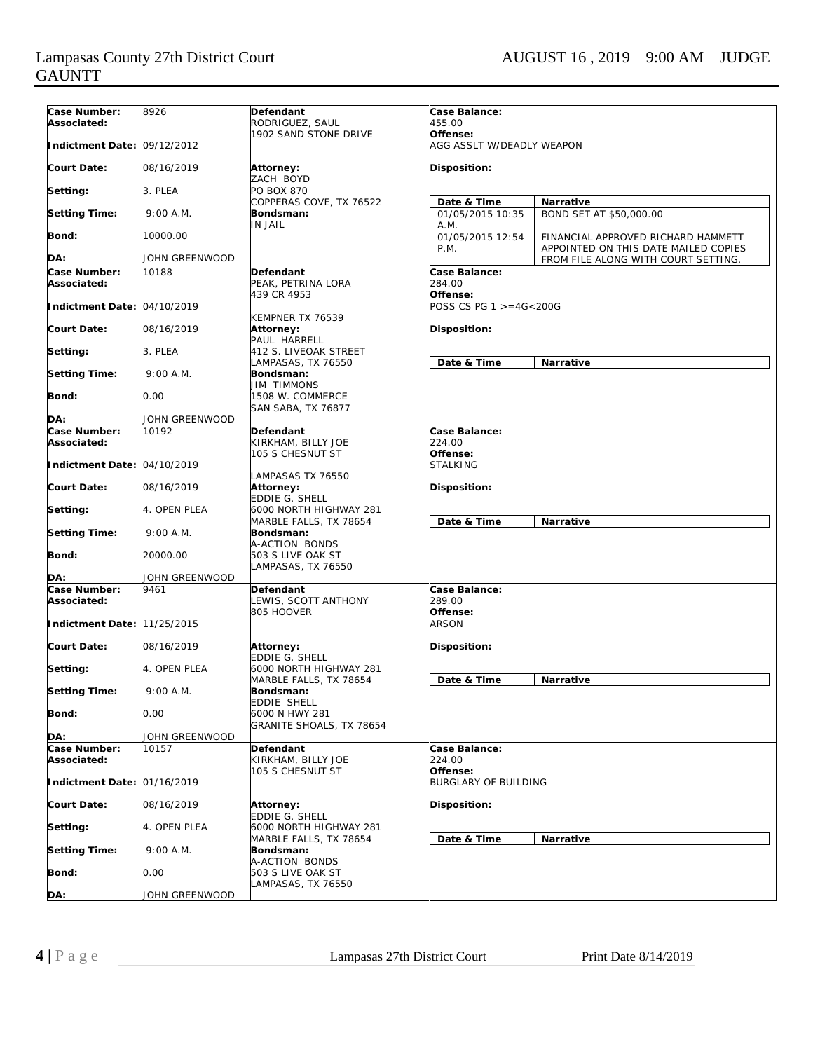# GAUNTT

| Case Number:                | 8926           | Defendant                                        | Case Balance:                           |                                                                            |  |
|-----------------------------|----------------|--------------------------------------------------|-----------------------------------------|----------------------------------------------------------------------------|--|
| Associated:                 |                | RODRIGUEZ, SAUL                                  | 455.00                                  |                                                                            |  |
| Indictment Date: 09/12/2012 |                | 1902 SAND STONE DRIVE                            | Offense:<br>AGG ASSLT W/DEADLY WEAPON   |                                                                            |  |
| Court Date:                 | 08/16/2019     | <b>Attorney:</b>                                 | Disposition:                            |                                                                            |  |
| Setting:                    | 3. PLEA        | ZACH BOYD<br><b>PO BOX 870</b>                   |                                         |                                                                            |  |
|                             |                | COPPERAS COVE, TX 76522                          | Date & Time                             | Narrative                                                                  |  |
| <b>Setting Time:</b>        | 9:00 A.M.      | Bondsman:<br><b>IN JAIL</b>                      | 01/05/2015 10:35<br>A.M.                | BOND SET AT \$50,000.00                                                    |  |
| <b>Bond:</b>                | 10000.00       |                                                  | 01/05/2015 12:54<br>P.M.                | FINANCIAL APPROVED RICHARD HAMMETT<br>APPOINTED ON THIS DATE MAILED COPIES |  |
| DA:                         | JOHN GREENWOOD |                                                  |                                         | FROM FILE ALONG WITH COURT SETTING.                                        |  |
| Case Number:                | 10188          | Defendant                                        | Case Balance:                           |                                                                            |  |
| Associated:                 |                | PEAK, PETRINA LORA<br>439 CR 4953                | 284.00<br>Offense:                      |                                                                            |  |
| Indictment Date: 04/10/2019 |                | KEMPNER TX 76539                                 | POSS CS PG $1 > = 4G < 200G$            |                                                                            |  |
| <b>Court Date:</b>          | 08/16/2019     | <b>Attorney:</b><br>PAUL HARRELL                 | Disposition:                            |                                                                            |  |
| Setting:                    | 3. PLEA        | 412 S. LIVEOAK STREET<br>LAMPASAS, TX 76550      | Date & Time                             | <b>Narrative</b>                                                           |  |
| <b>Setting Time:</b>        | $9:00$ A.M.    | Bondsman:<br><b>JIM TIMMONS</b>                  |                                         |                                                                            |  |
| Bond:                       | 0.00           | 1508 W. COMMERCE<br><b>SAN SABA, TX 76877</b>    |                                         |                                                                            |  |
| DA:                         | JOHN GREENWOOD |                                                  |                                         |                                                                            |  |
| Case Number:                | 10192          | Defendant                                        | Case Balance:                           |                                                                            |  |
| Associated:                 |                | KIRKHAM, BILLY JOE<br>105 S CHESNUT ST           | 224.00<br>Offense:                      |                                                                            |  |
| Indictment Date: 04/10/2019 |                | LAMPASAS TX 76550                                | <b>STALKING</b>                         |                                                                            |  |
| <b>Court Date:</b>          | 08/16/2019     | Attorney:<br><b>EDDIE G. SHELL</b>               | Disposition:                            |                                                                            |  |
| Setting:                    | 4. OPEN PLEA   | 6000 NORTH HIGHWAY 281<br>MARBLE FALLS, TX 78654 | Date & Time                             | <b>Narrative</b>                                                           |  |
| <b>Setting Time:</b>        | 9:00 A.M.      | Bondsman:<br>A-ACTION BONDS                      |                                         |                                                                            |  |
| Bond:                       | 20000.00       | 503 S LIVE OAK ST<br>LAMPASAS, TX 76550          |                                         |                                                                            |  |
| DA:                         | JOHN GREENWOOD |                                                  |                                         |                                                                            |  |
| Case Number:                | 9461           | Defendant                                        | Case Balance:                           |                                                                            |  |
| Associated:                 |                | LEWIS, SCOTT ANTHONY<br>805 HOOVER               | 289.00<br>Offense:                      |                                                                            |  |
| Indictment Date: 11/25/2015 |                |                                                  | <b>ARSON</b>                            |                                                                            |  |
| Court Date:                 | 08/16/2019     | Attorney:<br>EDDIE G. SHELL                      | Disposition:                            |                                                                            |  |
| Setting:                    | 4. OPEN PLEA   | 6000 NORTH HIGHWAY 281<br>MARBLE FALLS, TX 78654 | Date & Time                             | <b>Narrative</b>                                                           |  |
| <b>Setting Time:</b>        | 9:00 A.M.      | Bondsman:<br>EDDIE SHELL                         |                                         |                                                                            |  |
| <b>Bond:</b>                | 0.00           | 6000 N HWY 281<br>GRANITE SHOALS, TX 78654       |                                         |                                                                            |  |
| DA:                         | JOHN GREENWOOD |                                                  |                                         |                                                                            |  |
| Case Number:                | 10157          | Defendant                                        | <b>Case Balance:</b>                    |                                                                            |  |
| Associated:                 |                | KIRKHAM, BILLY JOE                               | 224.00                                  |                                                                            |  |
| Indictment Date: 01/16/2019 |                | 105 S CHESNUT ST                                 | Offense:<br><b>BURGLARY OF BUILDING</b> |                                                                            |  |
| <b>Court Date:</b>          | 08/16/2019     | Attorney:                                        | Disposition:                            |                                                                            |  |
| Setting:                    | 4. OPEN PLEA   | EDDIE G. SHELL<br>6000 NORTH HIGHWAY 281         |                                         |                                                                            |  |
| <b>Setting Time:</b>        | $9:00$ A.M.    | MARBLE FALLS, TX 78654<br>Bondsman:              | Date & Time                             | Narrative                                                                  |  |
| Bond:                       | 0.00           | A-ACTION BONDS<br>503 S LIVE OAK ST              |                                         |                                                                            |  |
| DA:                         | JOHN GREENWOOD | LAMPASAS, TX 76550                               |                                         |                                                                            |  |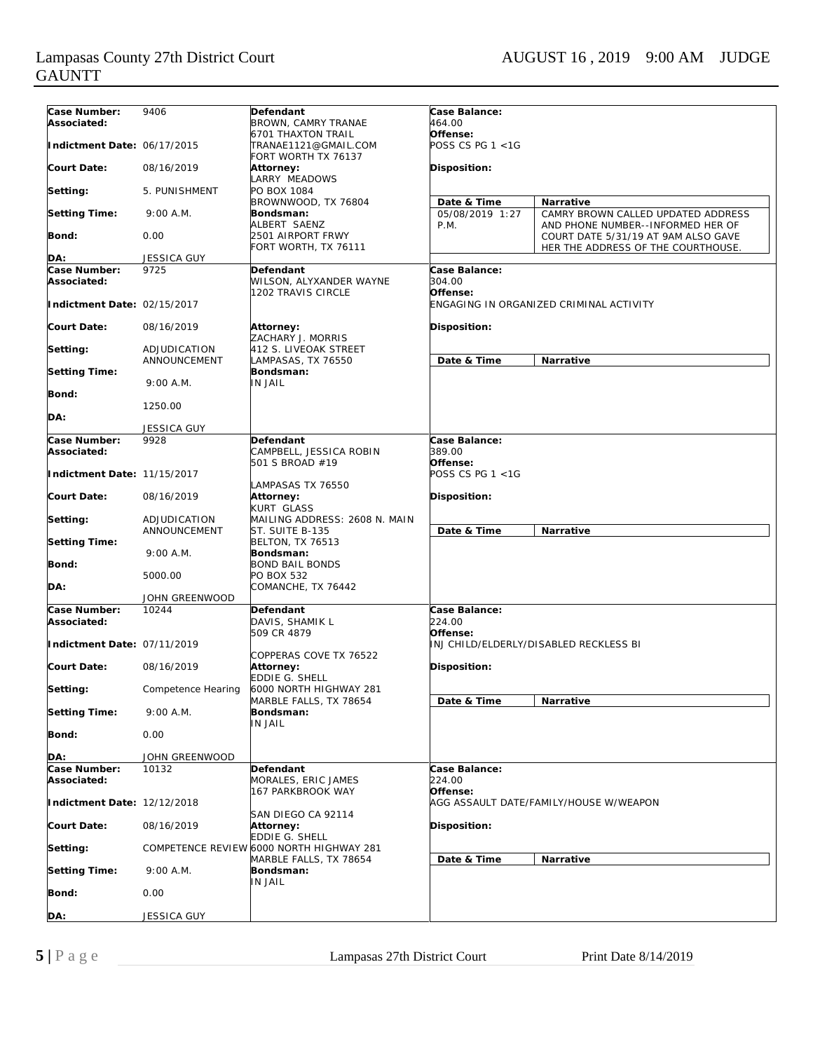| Case Number:<br>Associated: | 9406                         | <b>Defendant</b><br>BROWN, CAMRY TRANAE                                  | Case Balance:<br>464.00                             |                                                                          |
|-----------------------------|------------------------------|--------------------------------------------------------------------------|-----------------------------------------------------|--------------------------------------------------------------------------|
| Indictment Date: 06/17/2015 |                              | <b>6701 THAXTON TRAIL</b><br>TRANAE1121@GMAIL.COM<br>FORT WORTH TX 76137 | Offense:<br>POSS CS PG $1 < 1$ G                    |                                                                          |
| <b>Court Date:</b>          | 08/16/2019                   | Attorney:                                                                | <b>Disposition:</b>                                 |                                                                          |
| Setting:                    | 5. PUNISHMENT                | LARRY MEADOWS<br>PO BOX 1084                                             |                                                     |                                                                          |
| <b>Setting Time:</b>        | 9:00 A.M.                    | BROWNWOOD, TX 76804<br>Bondsman:                                         | Date & Time<br>05/08/2019 1:27                      | <b>Narrative</b><br>CAMRY BROWN CALLED UPDATED ADDRESS                   |
| Bond:                       | 0.00                         | ALBERT SAENZ<br>2501 AIRPORT FRWY                                        | P.M.                                                | AND PHONE NUMBER--INFORMED HER OF<br>COURT DATE 5/31/19 AT 9AM ALSO GAVE |
| DA:                         | <b>JESSICA GUY</b>           | FORT WORTH, TX 76111                                                     |                                                     | HER THE ADDRESS OF THE COURTHOUSE.                                       |
| Case Number:                | 9725                         | Defendant                                                                | Case Balance:                                       |                                                                          |
| Associated:                 |                              | WILSON, ALYXANDER WAYNE<br>1202 TRAVIS CIRCLE                            | 304.00                                              |                                                                          |
| Indictment Date: 02/15/2017 |                              |                                                                          | Offense:<br>ENGAGING IN ORGANIZED CRIMINAL ACTIVITY |                                                                          |
| <b>Court Date:</b>          | 08/16/2019                   | <b>Attorney:</b><br>ZACHARY J. MORRIS                                    | Disposition:                                        |                                                                          |
| Setting:                    | ADJUDICATION<br>ANNOUNCEMENT | 412 S. LIVEOAK STREET<br>LAMPASAS, TX 76550                              | Date & Time<br>Narrative                            |                                                                          |
| <b>Setting Time:</b>        | $9:00$ A.M.                  | Bondsman:<br>IN JAIL                                                     |                                                     |                                                                          |
| Bond:                       | 1250.00                      |                                                                          |                                                     |                                                                          |
| DA:                         | <b>JESSICA GUY</b>           |                                                                          |                                                     |                                                                          |
| Case Number:                | 9928                         | Defendant                                                                | Case Balance:                                       |                                                                          |
| Associated:                 |                              | CAMPBELL, JESSICA ROBIN<br>501 S BROAD #19                               | 389.00<br>Offense:                                  |                                                                          |
| Indictment Date: 11/15/2017 |                              | LAMPASAS TX 76550                                                        | POSS CS PG $1 < 1$ G                                |                                                                          |
| <b>Court Date:</b>          | 08/16/2019                   | Attorney:<br><b>KURT GLASS</b>                                           | Disposition:                                        |                                                                          |
| Setting:                    | ADJUDICATION<br>ANNOUNCEMENT | MAILING ADDRESS: 2608 N. MAIN<br>ST. SUITE B-135                         | Date & Time                                         | <b>Narrative</b>                                                         |
| <b>Setting Time:</b>        |                              | <b>BELTON, TX 76513</b>                                                  |                                                     |                                                                          |
| <b>Bond:</b>                | $9:00$ A.M.                  | Bondsman:<br><b>BOND BAIL BONDS</b>                                      |                                                     |                                                                          |
| DA:                         | 5000.00                      | PO BOX 532<br>COMANCHE, TX 76442                                         |                                                     |                                                                          |
|                             | JOHN GREENWOOD               |                                                                          |                                                     |                                                                          |
| <b>Case Number:</b>         | 10244                        | Defendant                                                                | Case Balance:                                       |                                                                          |
| Associated:                 |                              | DAVIS, SHAMIK L                                                          | 224.00                                              |                                                                          |
| Indictment Date: 07/11/2019 |                              | 509 CR 4879                                                              | Offense:                                            | INJ CHILD/ELDERLY/DISABLED RECKLESS BI                                   |
| <b>Court Date:</b>          | 08/16/2019                   | COPPERAS COVE TX 76522<br><b>Attorney:</b><br><b>EDDIE G. SHELL</b>      | Disposition:                                        |                                                                          |
| Setting:                    | Competence Hearing           | 6000 NORTH HIGHWAY 281<br>MARBLE FALLS, TX 78654                         | Date & Time                                         | Narrative                                                                |
| <b>Setting Time:</b>        | $9:00$ A.M.                  | Bondsman:<br>IN JAIL                                                     |                                                     |                                                                          |
| <b>Bond:</b>                | 0.00                         |                                                                          |                                                     |                                                                          |
| DA:                         | JOHN GREENWOOD               |                                                                          |                                                     |                                                                          |
| Case Number:                | 10132                        | Defendant                                                                | Case Balance:                                       |                                                                          |
| Associated:                 |                              | MORALES, ERIC JAMES<br>167 PARKBROOK WAY                                 | 224.00                                              |                                                                          |
| Indictment Date: 12/12/2018 |                              | SAN DIEGO CA 92114                                                       | Offense:<br>AGG ASSAULT DATE/FAMILY/HOUSE W/WEAPON  |                                                                          |
| <b>Court Date:</b>          | 08/16/2019                   | <b>Attorney:</b><br><b>EDDIE G. SHELL</b>                                | Disposition:                                        |                                                                          |
| Setting:                    |                              | COMPETENCE REVIEW 6000 NORTH HIGHWAY 281                                 |                                                     |                                                                          |
| <b>Setting Time:</b>        | 9:00 A.M.                    | MARBLE FALLS, TX 78654<br>Bondsman:                                      | Date & Time                                         | Narrative                                                                |
| <b>Bond:</b>                | 0.00                         | <b>IN JAIL</b>                                                           |                                                     |                                                                          |
| DA:                         | <b>JESSICA GUY</b>           |                                                                          |                                                     |                                                                          |